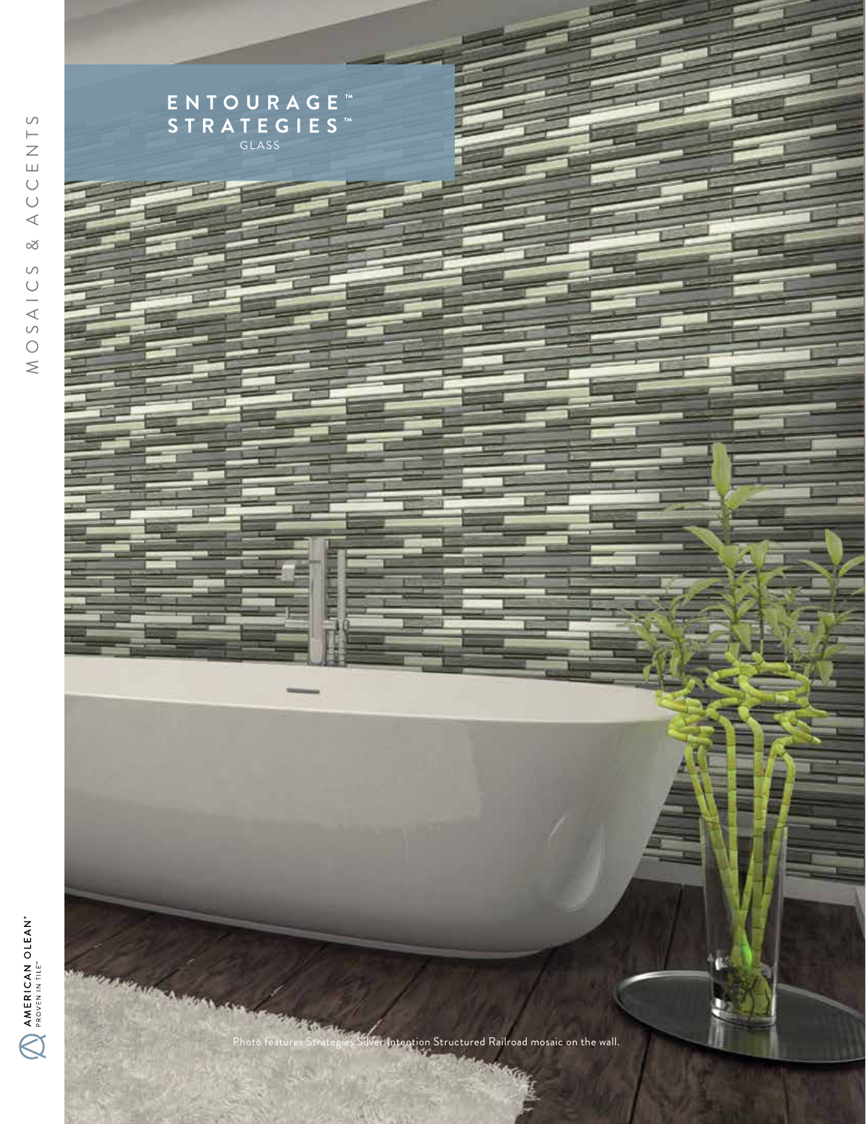

CCENTS MOSAICS & ACCENTS  $\triangleleft$  $\propto$  $\circ$ MOSAIC

AMERICAN OLEAN